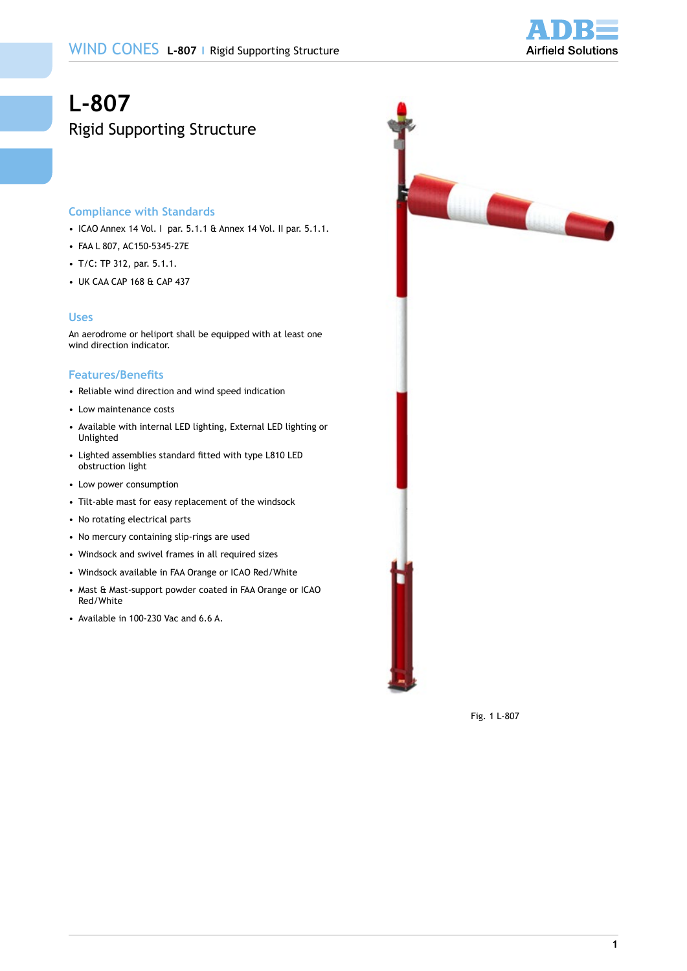

# **L-807**  Rigid Supporting Structure

## **Compliance with Standards**

- • ICAO Annex 14 Vol. I par. 5.1.1 & Annex 14 Vol. II par. 5.1.1.
- • FAA L 807, AC150-5345-27E
- T/C: TP 312, par. 5.1.1.
- • UK CAA CAP 168 & CAP 437

#### **Uses**

An aerodrome or heliport shall be equipped with at least one wind direction indicator.

## **Features/Benefits**

- • Reliable wind direction and wind speed indication
- • Low maintenance costs
- • Available with internal LED lighting, External LED lighting or Unlighted
- Lighted assemblies standard fitted with type L810 LED obstruction light
- • Low power consumption
- • Tilt-able mast for easy replacement of the windsock
- • No rotating electrical parts
- • No mercury containing slip-rings are used
- • Windsock and swivel frames in all required sizes
- • Windsock available in FAA Orange or ICAO Red/White
- Mast & Mast-support powder coated in FAA Orange or ICAO Red/White
- • Available in 100-230 Vac and 6.6 A.



Fig. 1 L-807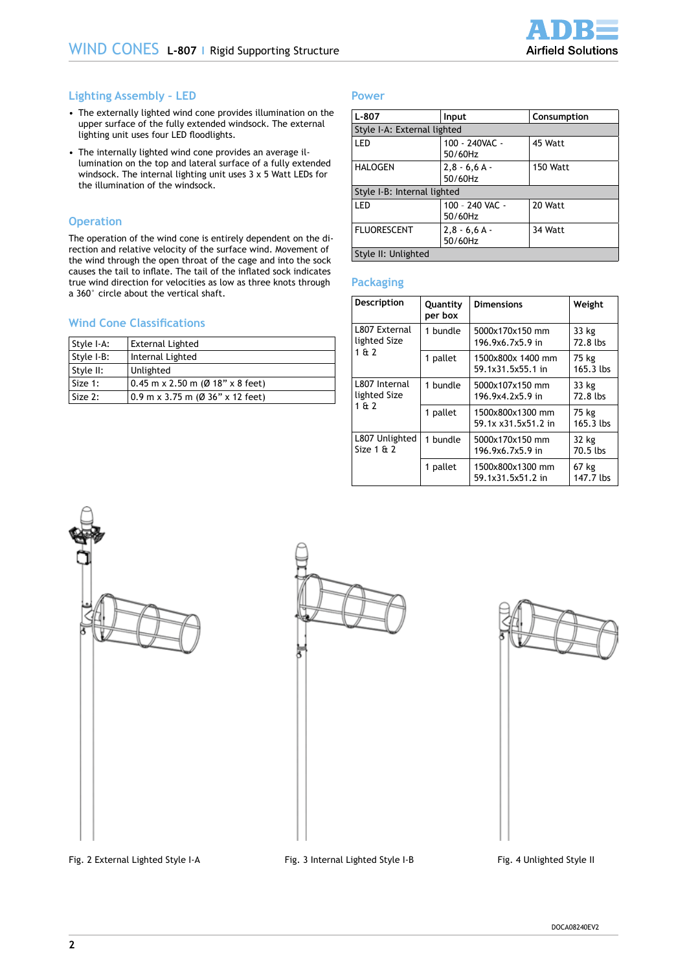## **Lighting Assembly – LED**

- The externally lighted wind cone provides illumination on the upper surface of the fully extended windsock. The external lighting unit uses four LED floodlights.
- The internally lighted wind cone provides an average illumination on the top and lateral surface of a fully extended windsock. The internal lighting unit uses 3 x 5 Watt LEDs for the illumination of the windsock.

## **Operation**

The operation of the wind cone is entirely dependent on the direction and relative velocity of the surface wind. Movement of the wind through the open throat of the cage and into the sock causes the tail to inflate. The tail of the inflated sock indicates true wind direction for velocities as low as three knots through a 360° circle about the vertical shaft.

## **Wind Cone Classifications**

| Style I-A: | External Lighted                   |
|------------|------------------------------------|
| Style I-B: | Internal Lighted                   |
| Style II:  | Unlighted                          |
| Size 1:    | $0.45$ m x 2.50 m (Ø 18" x 8 feet) |
| Size 2:    | $0.9$ m x 3.75 m (Ø 36" x 12 feet) |

#### **Power**

| $L - 807$                   | Input                                | Consumption |  |  |
|-----------------------------|--------------------------------------|-------------|--|--|
| Style I-A: External lighted |                                      |             |  |  |
| LED                         | 100 - 240VAC -<br>45 Watt<br>50/60Hz |             |  |  |
| HALOGEN                     | $2,8 - 6,6 A -$<br>50/60Hz           | 150 Watt    |  |  |
| Style I-B: Internal lighted |                                      |             |  |  |
| LED                         | 100 - 240 VAC -<br>50/60Hz           | 20 Watt     |  |  |
| <b>FLUORESCENT</b>          | $2,8 - 6,6 A -$<br>50/60Hz           | 34 Watt     |  |  |
| Style II: Unlighted         |                                      |             |  |  |

#### **Packaging**

| Description                           | Quantity<br>per box | <b>Dimensions</b>                       | Weight               |
|---------------------------------------|---------------------|-----------------------------------------|----------------------|
| L807 External<br>lighted Size         | 1 bundle            | 5000x170x150 mm<br>196.9x6.7x5.9 in     | 33 kg<br>72.8 lbs    |
| 1612                                  | 1 pallet            | 1500x800x 1400 mm<br>59.1x31.5x55.1 in  | 75 kg<br>$165.3$ lbs |
| L807 Internal<br>lighted Size<br>1612 | 1 bundle            | 5000x107x150 mm<br>196.9x4.2x5.9 in     | 33 kg<br>72.8 lbs    |
|                                       | 1 pallet            | 1500x800x1300 mm<br>59.1x x31.5x51.2 in | 75 kg<br>$165.3$ lbs |
| L807 Unlighted<br>Size $1 \& 2$       | 1 bundle            | 5000x170x150 mm<br>196.9x6.7x5.9 in     | 32 kg<br>70.5 lbs    |
|                                       | 1 pallet            | 1500x800x1300 mm<br>59.1x31.5x51.2 in   | 67 kg<br>147.7 lbs   |



Fig. 2 External Lighted Style I-A Fig. 3 Internal Lighted Style I-B Fig. 4 Unlighted Style II

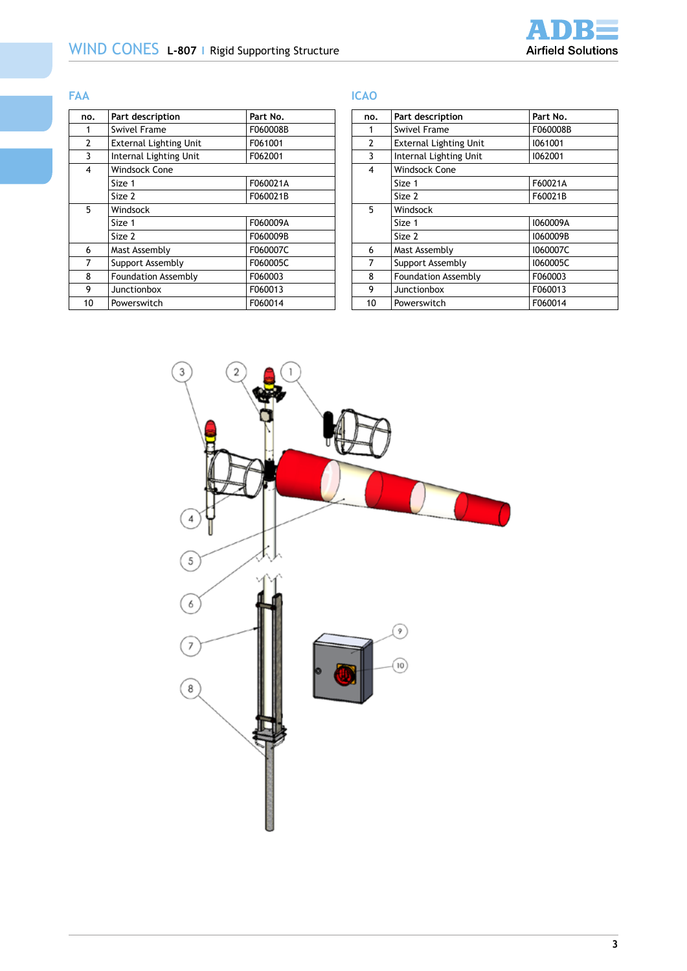

# **FAA**

# **ICAO**

| no. | Part description                      | Part No. |  |  |
|-----|---------------------------------------|----------|--|--|
| 1   | <b>Swivel Frame</b>                   | F060008B |  |  |
| 2   | <b>External Lighting Unit</b>         | F061001  |  |  |
| 3   | Internal Lighting Unit<br>F062001     |          |  |  |
| 4   | <b>Windsock Cone</b>                  |          |  |  |
|     | Size 1                                | F060021A |  |  |
|     | Size 2                                | F060021B |  |  |
| 5   | Windsock                              |          |  |  |
|     | Size 1                                | F060009A |  |  |
|     | Size 2                                | F060009B |  |  |
| 6   | Mast Assembly                         | F060007C |  |  |
| 7   | Support Assembly                      | F060005C |  |  |
| 8   | F060003<br><b>Foundation Assembly</b> |          |  |  |
| 9   | Junctionbox                           | F060013  |  |  |
| 10  | Powerswitch                           | F060014  |  |  |

| no.            | Part description                  | Part No. |  |  |
|----------------|-----------------------------------|----------|--|--|
| 1              | <b>Swivel Frame</b>               | F060008B |  |  |
| $\overline{c}$ | <b>External Lighting Unit</b>     | 1061001  |  |  |
| 3              | 1062001<br>Internal Lighting Unit |          |  |  |
| 4              | Windsock Cone                     |          |  |  |
|                | Size 1                            | F60021A  |  |  |
|                | Size 2                            | F60021B  |  |  |
| 5              | Windsock                          |          |  |  |
|                | Size 1                            | 1060009A |  |  |
|                | Size 2                            | I060009B |  |  |
| 6              | Mast Assembly                     | I060007C |  |  |
| 7              | Support Assembly                  | I060005C |  |  |
| 8              | <b>Foundation Assembly</b>        | F060003  |  |  |
| 9              | Junctionbox                       | F060013  |  |  |
| 10             | Powerswitch                       | F060014  |  |  |